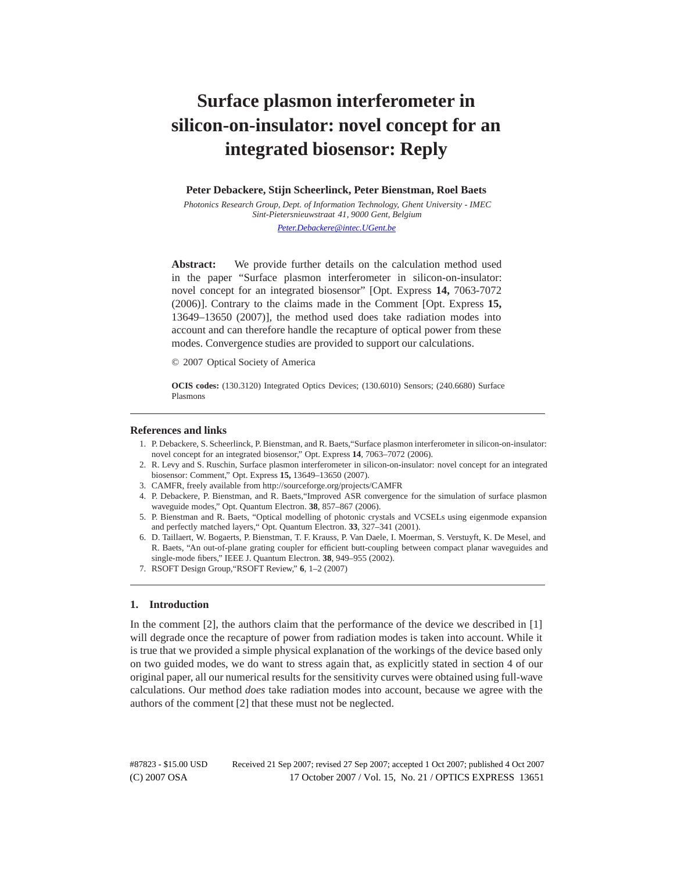# **Surface plasmon interferometer in silicon-on-insulator: novel concept for an integrated biosensor: Reply**

**Peter Debackere, Stijn Scheerlinck, Peter Bienstman, Roel Baets**

*Photonics Research Group, Dept. of Information Technology, Ghent University - IMEC Sint-Pietersnieuwstraat 41, 9000 Gent, Belgium*

*Peter.Debackere@intec.UGent.be*

**Abstract:** We provide further details on the calculation method used in the paper "Surface plasmon interferometer in silicon-on-insulator: novel concept for an integrated biosensor" [Opt. Express **14,** 7063-7072 (2006)]. Contrary to the claims made in the Comment [Opt. Express **15,** 13649–13650 (2007)], the method used does take radiation modes into account and can therefore handle the recapture of optical power from these modes. Convergence studies are provided to support our calculations.

© 2007 Optical Society of America

**OCIS codes:** (130.3120) Integrated Optics Devices; (130.6010) Sensors; (240.6680) Surface Plasmons

#### **References and links**

- 1. P. Debackere, S. Scheerlinck, P. Bienstman, and R. Baets,"Surface plasmon interferometer in silicon-on-insulator: novel concept for an integrated biosensor," Opt. Express **14**, 7063–7072 (2006).
- 2. R. Levy and S. Ruschin, Surface plasmon interferometer in silicon-on-insulator: novel concept for an integrated biosensor: Comment," Opt. Express **15,** 13649–13650 (2007).
- 3. CAMFR, freely available from http://sourceforge.org/projects/CAMFR
- 4. P. Debackere, P. Bienstman, and R. Baets,"Improved ASR convergence for the simulation of surface plasmon waveguide modes," Opt. Quantum Electron. **38**, 857–867 (2006).
- 5. P. Bienstman and R. Baets, "Optical modelling of photonic crystals and VCSELs using eigenmode expansion and perfectly matched layers," Opt. Quantum Electron. **33**, 327–341 (2001).
- 6. D. Taillaert, W. Bogaerts, P. Bienstman, T. F. Krauss, P. Van Daele, I. Moerman, S. Verstuyft, K. De Mesel, and R. Baets, "An out-of-plane grating coupler for efficient butt-coupling between compact planar waveguides and single-mode fibers," IEEE J. Quantum Electron. **38**, 949–955 (2002).
- 7. RSOFT Design Group,"RSOFT Review," **6**, 1–2 (2007)

## **1. Introduction**

In the comment [2], the authors claim that the performance of the device we described in [1] will degrade once the recapture of power from radiation modes is taken into account. While it is true that we provided a simple physical explanation of the workings of the device based only on two guided modes, we do want to stress again that, as explicitly stated in section 4 of our original paper, all our numerical results for the sensitivity curves were obtained using full-wave calculations. Our method *does* take radiation modes into account, because we agree with the authors of the comment [2] that these must not be neglected.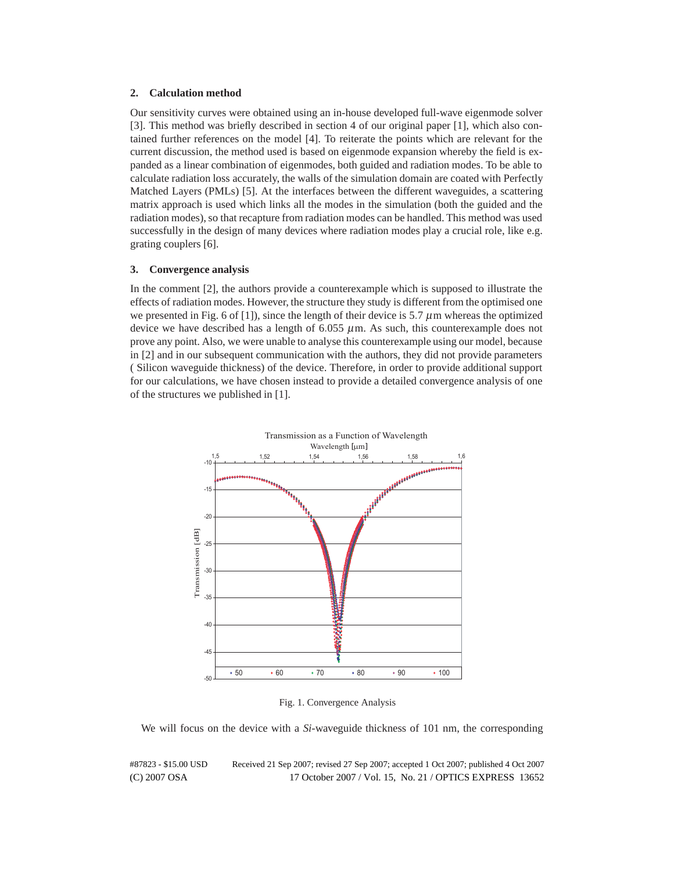#### **2. Calculation method**

Our sensitivity curves were obtained using an in-house developed full-wave eigenmode solver [3]. This method was briefly described in section 4 of our original paper [1], which also contained further references on the model [4]. To reiterate the points which are relevant for the current discussion, the method used is based on eigenmode expansion whereby the field is expanded as a linear combination of eigenmodes, both guided and radiation modes. To be able to calculate radiation loss accurately, the walls of the simulation domain are coated with Perfectly Matched Layers (PMLs) [5]. At the interfaces between the different waveguides, a scattering matrix approach is used which links all the modes in the simulation (both the guided and the radiation modes), so that recapture from radiation modes can be handled. This method was used successfully in the design of many devices where radiation modes play a crucial role, like e.g. grating couplers [6].

### **3. Convergence analysis**

In the comment [2], the authors provide a counterexample which is supposed to illustrate the effects of radiation modes. However, the structure they study is different from the optimised one we presented in Fig. 6 of [1]), since the length of their device is 5.7  $\mu$ m whereas the optimized device we have described has a length of 6*.*055 μm. As such, this counterexample does not prove any point. Also, we were unable to analyse this counterexample using our model, because in [2] and in our subsequent communication with the authors, they did not provide parameters ( Silicon waveguide thickness) of the device. Therefore, in order to provide additional support for our calculations, we have chosen instead to provide a detailed convergence analysis of one of the structures we published in [1].



Fig. 1. Convergence Analysis

We will focus on the device with a *Si*-waveguide thickness of 101 nm, the corresponding

#87823 - \$15.00 USD Received 21 Sep 2007; revised 27 Sep 2007; accepted 1 Oct 2007; published 4 Oct 2007 (C) 2007 OSA 17 October 2007 / Vol. 15, No. 21 / OPTICS EXPRESS 13652